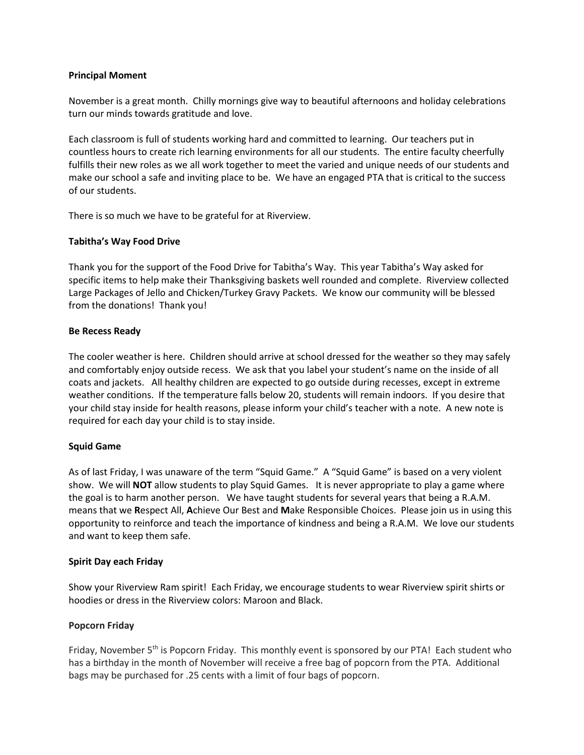## **Principal Moment**

November is a great month. Chilly mornings give way to beautiful afternoons and holiday celebrations turn our minds towards gratitude and love.

Each classroom is full of students working hard and committed to learning. Our teachers put in countless hours to create rich learning environments for all our students. The entire faculty cheerfully fulfills their new roles as we all work together to meet the varied and unique needs of our students and make our school a safe and inviting place to be. We have an engaged PTA that is critical to the success of our students.

There is so much we have to be grateful for at Riverview.

## **Tabitha's Way Food Drive**

Thank you for the support of the Food Drive for Tabitha's Way. This year Tabitha's Way asked for specific items to help make their Thanksgiving baskets well rounded and complete. Riverview collected Large Packages of Jello and Chicken/Turkey Gravy Packets. We know our community will be blessed from the donations! Thank you!

## **Be Recess Ready**

The cooler weather is here. Children should arrive at school dressed for the weather so they may safely and comfortably enjoy outside recess. We ask that you label your student's name on the inside of all coats and jackets. All healthy children are expected to go outside during recesses, except in extreme weather conditions. If the temperature falls below 20, students will remain indoors. If you desire that your child stay inside for health reasons, please inform your child's teacher with a note. A new note is required for each day your child is to stay inside.

# **Squid Game**

As of last Friday, I was unaware of the term "Squid Game." A "Squid Game" is based on a very violent show. We will **NOT** allow students to play Squid Games. It is never appropriate to play a game where the goal is to harm another person. We have taught students for several years that being a R.A.M. means that we **R**espect All, **A**chieve Our Best and **M**ake Responsible Choices. Please join us in using this opportunity to reinforce and teach the importance of kindness and being a R.A.M. We love our students and want to keep them safe.

#### **Spirit Day each Friday**

Show your Riverview Ram spirit! Each Friday, we encourage students to wear Riverview spirit shirts or hoodies or dress in the Riverview colors: Maroon and Black.

# **Popcorn Friday**

Friday, November 5<sup>th</sup> is Popcorn Friday. This monthly event is sponsored by our PTA! Each student who has a birthday in the month of November will receive a free bag of popcorn from the PTA. Additional bags may be purchased for .25 cents with a limit of four bags of popcorn.